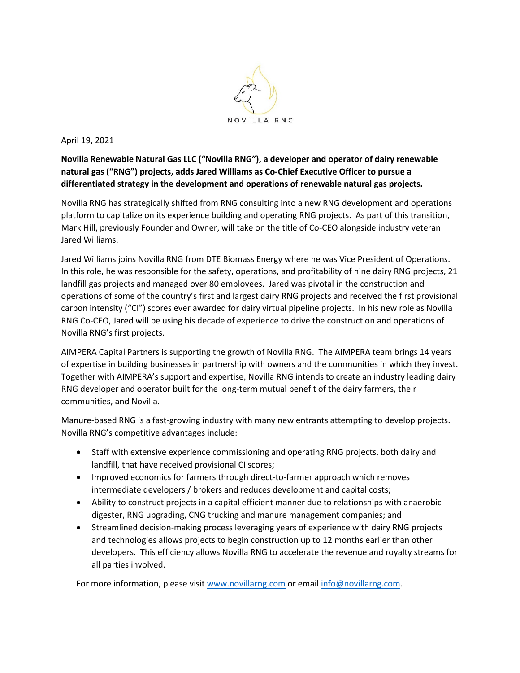

April 19, 2021

**Novilla Renewable Natural Gas LLC ("Novilla RNG"), a developer and operator of dairy renewable natural gas ("RNG") projects, adds Jared Williams as Co-Chief Executive Officer to pursue a differentiated strategy in the development and operations of renewable natural gas projects.**

Novilla RNG has strategically shifted from RNG consulting into a new RNG development and operations platform to capitalize on its experience building and operating RNG projects. As part of this transition, Mark Hill, previously Founder and Owner, will take on the title of Co-CEO alongside industry veteran Jared Williams.

Jared Williams joins Novilla RNG from DTE Biomass Energy where he was Vice President of Operations. In this role, he was responsible for the safety, operations, and profitability of nine dairy RNG projects, 21 landfill gas projects and managed over 80 employees. Jared was pivotal in the construction and operations of some of the country's first and largest dairy RNG projects and received the first provisional carbon intensity ("CI") scores ever awarded for dairy virtual pipeline projects. In his new role as Novilla RNG Co-CEO, Jared will be using his decade of experience to drive the construction and operations of Novilla RNG's first projects.

AIMPERA Capital Partners is supporting the growth of Novilla RNG. The AIMPERA team brings 14 years of expertise in building businesses in partnership with owners and the communities in which they invest. Together with AIMPERA's support and expertise, Novilla RNG intends to create an industry leading dairy RNG developer and operator built for the long-term mutual benefit of the dairy farmers, their communities, and Novilla.

Manure-based RNG is a fast-growing industry with many new entrants attempting to develop projects. Novilla RNG's competitive advantages include:

- Staff with extensive experience commissioning and operating RNG projects, both dairy and landfill, that have received provisional CI scores;
- Improved economics for farmers through direct-to-farmer approach which removes intermediate developers / brokers and reduces development and capital costs;
- Ability to construct projects in a capital efficient manner due to relationships with anaerobic digester, RNG upgrading, CNG trucking and manure management companies; and
- Streamlined decision-making process leveraging years of experience with dairy RNG projects and technologies allows projects to begin construction up to 12 months earlier than other developers. This efficiency allows Novilla RNG to accelerate the revenue and royalty streams for all parties involved.

For more information, please visi[t www.novillarng.com](http://www.novillarng.com/) or email [info@novillarng.com.](mailto:info@novillarng.com)